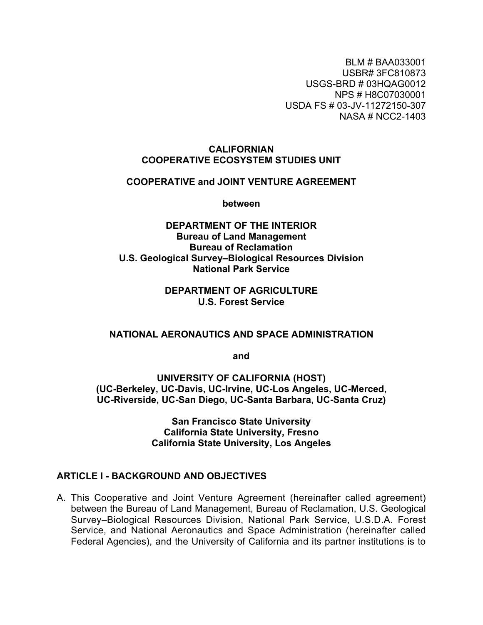BLM # BAA033001 USBR# 3FC810873 USGS-BRD # 03HQAG0012 NPS # H8C07030001 USDA FS # 03-JV-11272150-307 NASA # NCC2-1403

#### **CALIFORNIAN COOPERATIVE ECOSYSTEM STUDIES UNIT**

#### **COOPERATIVE and JOINT VENTURE AGREEMENT**

**between**

### **DEPARTMENT OF THE INTERIOR Bureau of Land Management Bureau of Reclamation U.S. Geological Survey–Biological Resources Division National Park Service**

## **DEPARTMENT OF AGRICULTURE U.S. Forest Service**

#### **NATIONAL AERONAUTICS AND SPACE ADMINISTRATION**

**and**

**UNIVERSITY OF CALIFORNIA (HOST) (UC-Berkeley, UC-Davis, UC-Irvine, UC-Los Angeles, UC-Merced, UC-Riverside, UC-San Diego, UC-Santa Barbara, UC-Santa Cruz)**

> **San Francisco State University California State University, Fresno California State University, Los Angeles**

#### **ARTICLE I - BACKGROUND AND OBJECTIVES**

A. This Cooperative and Joint Venture Agreement (hereinafter called agreement) between the Bureau of Land Management, Bureau of Reclamation, U.S. Geological Survey–Biological Resources Division, National Park Service, U.S.D.A. Forest Service, and National Aeronautics and Space Administration (hereinafter called Federal Agencies), and the University of California and its partner institutions is to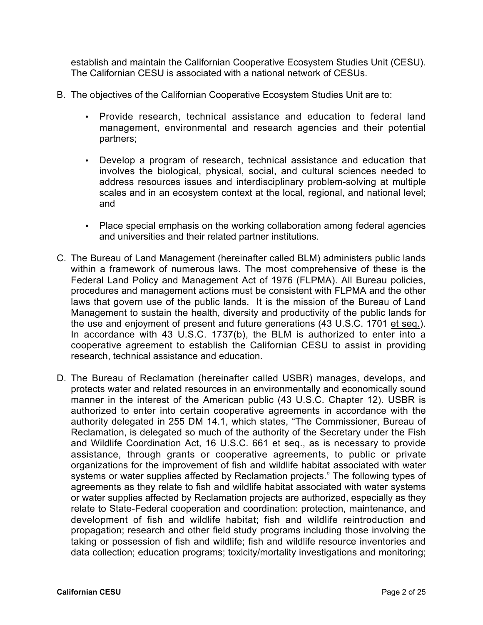establish and maintain the Californian Cooperative Ecosystem Studies Unit (CESU). The Californian CESU is associated with a national network of CESUs.

B. The objectives of the Californian Cooperative Ecosystem Studies Unit are to:

Provide research, technical assistance and education to federal land management, environmental and research agencies and their potential partners;

Develop a program of research, technical assistance and education that involves the biological, physical, social, and cultural sciences needed to address resources issues and interdisciplinary problem-solving at multiple scales and in an ecosystem context at the local, regional, and national level; and

Place special emphasis on the working collaboration among federal agencies and universities and their related partner institutions.

- C. The Bureau of Land Management (hereinafter called BLM) administers public lands within a framework of numerous laws. The most comprehensive of these is the Federal Land Policy and Management Act of 1976 (FLPMA). All Bureau policies, procedures and management actions must be consistent with FLPMA and the other laws that govern use of the public lands. It is the mission of the Bureau of Land Management to sustain the health, diversity and productivity of the public lands for the use and enjoyment of present and future generations (43 U.S.C. 1701 et seq.). In accordance with 43 U.S.C. 1737(b), the BLM is authorized to enter into a cooperative agreement to establish the Californian CESU to assist in providing research, technical assistance and education.
- D. The Bureau of Reclamation (hereinafter called USBR) manages, develops, and protects water and related resources in an environmentally and economically sound manner in the interest of the American public (43 U.S.C. Chapter 12). USBR is authorized to enter into certain cooperative agreements in accordance with the authority delegated in 255 DM 14.1, which states, "The Commissioner, Bureau of Reclamation, is delegated so much of the authority of the Secretary under the Fish and Wildlife Coordination Act, 16 U.S.C. 661 et seq., as is necessary to provide assistance, through grants or cooperative agreements, to public or private organizations for the improvement of fish and wildlife habitat associated with water systems or water supplies affected by Reclamation projects." The following types of agreements as they relate to fish and wildlife habitat associated with water systems or water supplies affected by Reclamation projects are authorized, especially as they relate to State-Federal cooperation and coordination: protection, maintenance, and development of fish and wildlife habitat; fish and wildlife reintroduction and propagation; research and other field study programs including those involving the taking or possession of fish and wildlife; fish and wildlife resource inventories and data collection; education programs; toxicity/mortality investigations and monitoring;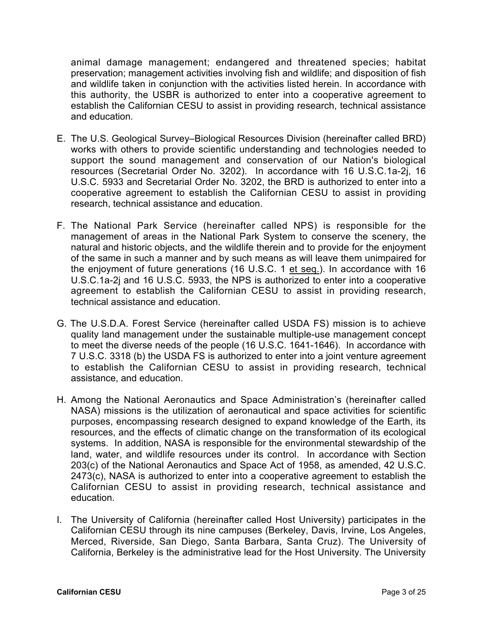animal damage management; endangered and threatened species; habitat preservation; management activities involving fish and wildlife; and disposition of fish and wildlife taken in conjunction with the activities listed herein. In accordance with this authority, the USBR is authorized to enter into a cooperative agreement to establish the Californian CESU to assist in providing research, technical assistance and education.

- E. The U.S. Geological Survey–Biological Resources Division (hereinafter called BRD) works with others to provide scientific understanding and technologies needed to support the sound management and conservation of our Nation's biological resources (Secretarial Order No. 3202). In accordance with 16 U.S.C.1a-2j, 16 U.S.C. 5933 and Secretarial Order No. 3202, the BRD is authorized to enter into a cooperative agreement to establish the Californian CESU to assist in providing research, technical assistance and education.
- F. The National Park Service (hereinafter called NPS) is responsible for the management of areas in the National Park System to conserve the scenery, the natural and historic objects, and the wildlife therein and to provide for the enjoyment of the same in such a manner and by such means as will leave them unimpaired for the enjoyment of future generations (16 U.S.C. 1 et seq.). In accordance with 16 U.S.C.1a-2j and 16 U.S.C. 5933, the NPS is authorized to enter into a cooperative agreement to establish the Californian CESU to assist in providing research, technical assistance and education.
- G. The U.S.D.A. Forest Service (hereinafter called USDA FS) mission is to achieve quality land management under the sustainable multiple-use management concept to meet the diverse needs of the people (16 U.S.C. 1641-1646). In accordance with 7 U.S.C. 3318 (b) the USDA FS is authorized to enter into a joint venture agreement to establish the Californian CESU to assist in providing research, technical assistance, and education.
- H. Among the National Aeronautics and Space Administration's (hereinafter called NASA) missions is the utilization of aeronautical and space activities for scientific purposes, encompassing research designed to expand knowledge of the Earth, its resources, and the effects of climatic change on the transformation of its ecological systems. In addition, NASA is responsible for the environmental stewardship of the land, water, and wildlife resources under its control. In accordance with Section 203(c) of the National Aeronautics and Space Act of 1958, as amended, 42 U.S.C. 2473(c), NASA is authorized to enter into a cooperative agreement to establish the Californian CESU to assist in providing research, technical assistance and education.
- I. The University of California (hereinafter called Host University) participates in the Californian CESU through its nine campuses (Berkeley, Davis, Irvine, Los Angeles, Merced, Riverside, San Diego, Santa Barbara, Santa Cruz). The University of California, Berkeley is the administrative lead for the Host University. The University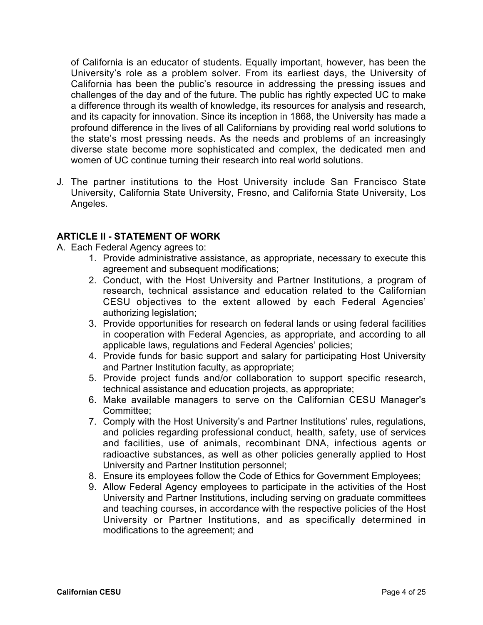of California is an educator of students. Equally important, however, has been the University's role as a problem solver. From its earliest days, the University of California has been the public's resource in addressing the pressing issues and challenges of the day and of the future. The public has rightly expected UC to make a difference through its wealth of knowledge, its resources for analysis and research, and its capacity for innovation. Since its inception in 1868, the University has made a profound difference in the lives of all Californians by providing real world solutions to the state's most pressing needs. As the needs and problems of an increasingly diverse state become more sophisticated and complex, the dedicated men and women of UC continue turning their research into real world solutions.

J. The partner institutions to the Host University include San Francisco State University, California State University, Fresno, and California State University, Los Angeles.

## **ARTICLE II - STATEMENT OF WORK**

- A. Each Federal Agency agrees to:
	- 1. Provide administrative assistance, as appropriate, necessary to execute this agreement and subsequent modifications;
	- 2. Conduct, with the Host University and Partner Institutions, a program of research, technical assistance and education related to the Californian CESU objectives to the extent allowed by each Federal Agencies' authorizing legislation;
	- 3. Provide opportunities for research on federal lands or using federal facilities in cooperation with Federal Agencies, as appropriate, and according to all applicable laws, regulations and Federal Agencies' policies;
	- 4. Provide funds for basic support and salary for participating Host University and Partner Institution faculty, as appropriate;
	- 5. Provide project funds and/or collaboration to support specific research, technical assistance and education projects, as appropriate;
	- 6. Make available managers to serve on the Californian CESU Manager's Committee;
	- 7. Comply with the Host University's and Partner Institutions' rules, regulations, and policies regarding professional conduct, health, safety, use of services and facilities, use of animals, recombinant DNA, infectious agents or radioactive substances, as well as other policies generally applied to Host University and Partner Institution personnel;
	- 8. Ensure its employees follow the Code of Ethics for Government Employees;
	- 9. Allow Federal Agency employees to participate in the activities of the Host University and Partner Institutions, including serving on graduate committees and teaching courses, in accordance with the respective policies of the Host University or Partner Institutions, and as specifically determined in modifications to the agreement; and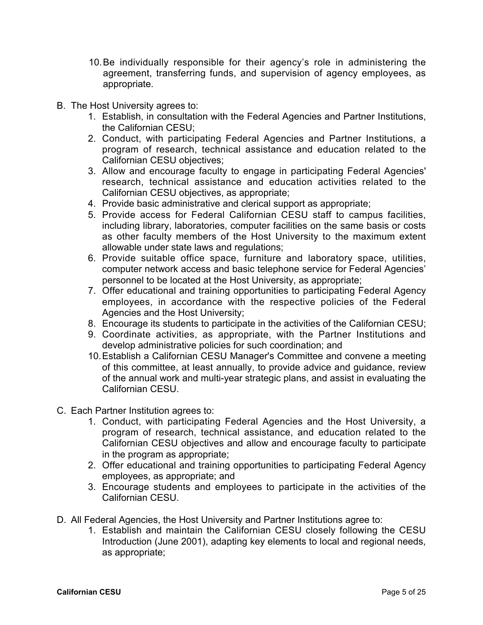- 10.Be individually responsible for their agency's role in administering the agreement, transferring funds, and supervision of agency employees, as appropriate.
- B. The Host University agrees to:
	- 1. Establish, in consultation with the Federal Agencies and Partner Institutions, the Californian CESU;
	- 2. Conduct, with participating Federal Agencies and Partner Institutions, a program of research, technical assistance and education related to the Californian CESU objectives;
	- 3. Allow and encourage faculty to engage in participating Federal Agencies' research, technical assistance and education activities related to the Californian CESU objectives, as appropriate;
	- 4. Provide basic administrative and clerical support as appropriate;
	- 5. Provide access for Federal Californian CESU staff to campus facilities, including library, laboratories, computer facilities on the same basis or costs as other faculty members of the Host University to the maximum extent allowable under state laws and regulations;
	- 6. Provide suitable office space, furniture and laboratory space, utilities, computer network access and basic telephone service for Federal Agencies' personnel to be located at the Host University, as appropriate;
	- 7. Offer educational and training opportunities to participating Federal Agency employees, in accordance with the respective policies of the Federal Agencies and the Host University;
	- 8. Encourage its students to participate in the activities of the Californian CESU;
	- 9. Coordinate activities, as appropriate, with the Partner Institutions and develop administrative policies for such coordination; and
	- 10.Establish a Californian CESU Manager's Committee and convene a meeting of this committee, at least annually, to provide advice and guidance, review of the annual work and multi-year strategic plans, and assist in evaluating the Californian CESU.
- C. Each Partner Institution agrees to:
	- 1. Conduct, with participating Federal Agencies and the Host University, a program of research, technical assistance, and education related to the Californian CESU objectives and allow and encourage faculty to participate in the program as appropriate;
	- 2. Offer educational and training opportunities to participating Federal Agency employees, as appropriate; and
	- 3. Encourage students and employees to participate in the activities of the Californian CESU.
- D. All Federal Agencies, the Host University and Partner Institutions agree to:
	- 1. Establish and maintain the Californian CESU closely following the CESU Introduction (June 2001), adapting key elements to local and regional needs, as appropriate;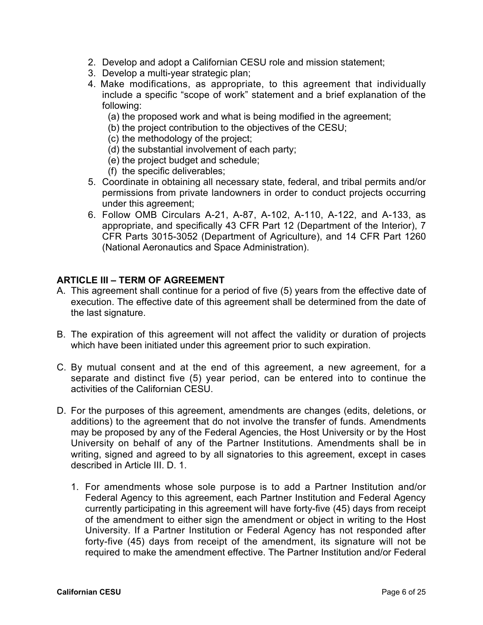- 2. Develop and adopt a Californian CESU role and mission statement;
- 3. Develop a multi-year strategic plan;
- 4. Make modifications, as appropriate, to this agreement that individually include a specific "scope of work" statement and a brief explanation of the following:
	- (a) the proposed work and what is being modified in the agreement;
	- (b) the project contribution to the objectives of the CESU;
	- (c) the methodology of the project;
	- (d) the substantial involvement of each party;
	- (e) the project budget and schedule;
	- (f) the specific deliverables;
- 5. Coordinate in obtaining all necessary state, federal, and tribal permits and/or permissions from private landowners in order to conduct projects occurring under this agreement;
- 6. Follow OMB Circulars A-21, A-87, A-102, A-110, A-122, and A-133, as appropriate, and specifically 43 CFR Part 12 (Department of the Interior), 7 CFR Parts 3015-3052 (Department of Agriculture), and 14 CFR Part 1260 (National Aeronautics and Space Administration).

#### **ARTICLE III – TERM OF AGREEMENT**

- A. This agreement shall continue for a period of five (5) years from the effective date of execution. The effective date of this agreement shall be determined from the date of the last signature.
- B. The expiration of this agreement will not affect the validity or duration of projects which have been initiated under this agreement prior to such expiration.
- C. By mutual consent and at the end of this agreement, a new agreement, for a separate and distinct five (5) year period, can be entered into to continue the activities of the Californian CESU.
- D. For the purposes of this agreement, amendments are changes (edits, deletions, or additions) to the agreement that do not involve the transfer of funds. Amendments may be proposed by any of the Federal Agencies, the Host University or by the Host University on behalf of any of the Partner Institutions. Amendments shall be in writing, signed and agreed to by all signatories to this agreement, except in cases described in Article III. D. 1.
	- 1. For amendments whose sole purpose is to add a Partner Institution and/or Federal Agency to this agreement, each Partner Institution and Federal Agency currently participating in this agreement will have forty-five (45) days from receipt of the amendment to either sign the amendment or object in writing to the Host University. If a Partner Institution or Federal Agency has not responded after forty-five (45) days from receipt of the amendment, its signature will not be required to make the amendment effective. The Partner Institution and/or Federal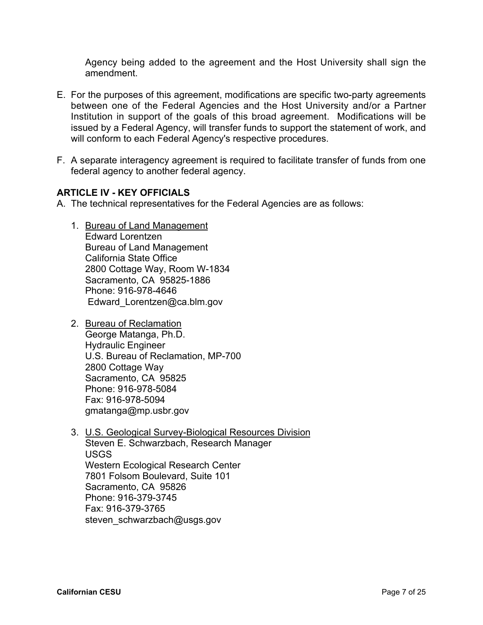Agency being added to the agreement and the Host University shall sign the amendment.

- E. For the purposes of this agreement, modifications are specific two-party agreements between one of the Federal Agencies and the Host University and/or a Partner Institution in support of the goals of this broad agreement. Modifications will be issued by a Federal Agency, will transfer funds to support the statement of work, and will conform to each Federal Agency's respective procedures.
- F. A separate interagency agreement is required to facilitate transfer of funds from one federal agency to another federal agency.

### **ARTICLE IV - KEY OFFICIALS**

- A. The technical representatives for the Federal Agencies are as follows:
	- 1. Bureau of Land Management Edward Lorentzen Bureau of Land Management California State Office 2800 Cottage Way, Room W-1834 Sacramento, CA 95825-1886 Phone: 916-978-4646 Edward Lorentzen@ca.blm.gov
	- 2. Bureau of Reclamation George Matanga, Ph.D. Hydraulic Engineer U.S. Bureau of Reclamation, MP-700 2800 Cottage Way Sacramento, CA 95825 Phone: 916-978-5084 Fax: 916-978-5094 gmatanga@mp.usbr.gov
	- 3. U.S. Geological Survey-Biological Resources Division Steven E. Schwarzbach, Research Manager USGS Western Ecological Research Center 7801 Folsom Boulevard, Suite 101 Sacramento, CA 95826 Phone: 916-379-3745 Fax: 916-379-3765 steven\_schwarzbach@usgs.gov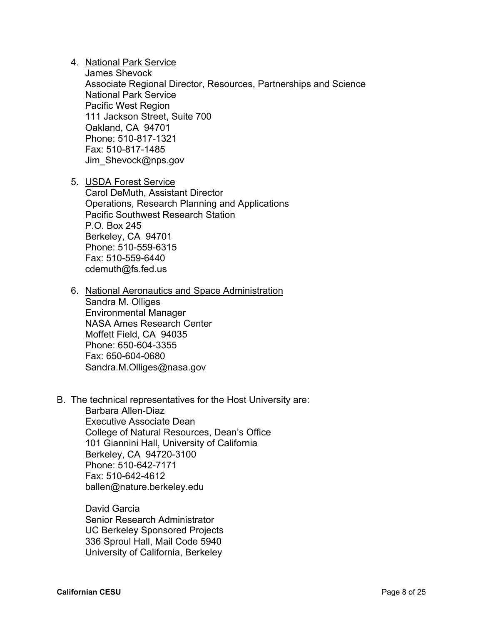4. National Park Service

James Shevock Associate Regional Director, Resources, Partnerships and Science National Park Service Pacific West Region 111 Jackson Street, Suite 700 Oakland, CA 94701 Phone: 510-817-1321 Fax: 510-817-1485 Jim\_Shevock@nps.gov

5. USDA Forest Service Carol DeMuth, Assistant Director Operations, Research Planning and Applications Pacific Southwest Research Station P.O. Box 245 Berkeley, CA 94701 Phone: 510-559-6315 Fax: 510-559-6440 cdemuth@fs.fed.us

- 6. National Aeronautics and Space Administration Sandra M. Olliges Environmental Manager NASA Ames Research Center Moffett Field, CA 94035 Phone: 650-604-3355 Fax: 650-604-0680 Sandra.M.Olliges@nasa.gov
- B. The technical representatives for the Host University are: Barbara Allen-Diaz Executive Associate Dean College of Natural Resources, Dean's Office 101 Giannini Hall, University of California

Berkeley, CA 94720-3100 Phone: 510-642-7171 Fax: 510-642-4612 ballen@nature.berkeley.edu

David Garcia Senior Research Administrator UC Berkeley Sponsored Projects 336 Sproul Hall, Mail Code 5940 University of California, Berkeley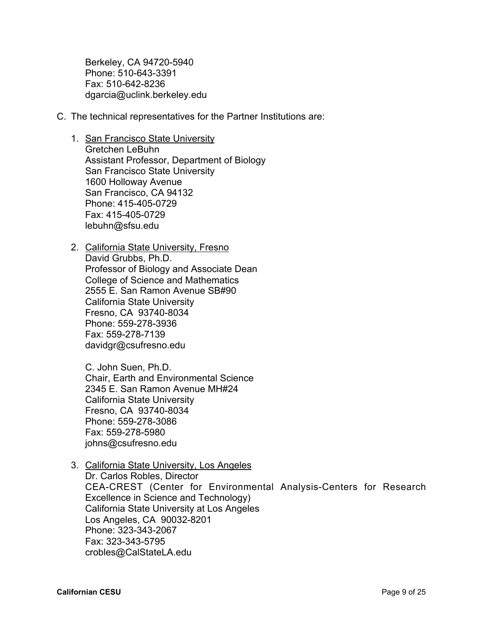Berkeley, CA 94720-5940 Phone: 510-643-3391 Fax: 510-642-8236 dgarcia@uclink.berkeley.edu

- C. The technical representatives for the Partner Institutions are:
	- 1. San Francisco State University Gretchen LeBuhn Assistant Professor, Department of Biology San Francisco State University 1600 Holloway Avenue San Francisco, CA 94132 Phone: 415-405-0729 Fax: 415-405-0729 lebuhn@sfsu.edu
	- 2. California State University, Fresno David Grubbs, Ph.D. Professor of Biology and Associate Dean College of Science and Mathematics 2555 E. San Ramon Avenue SB#90 California State University Fresno, CA 93740-8034 Phone: 559-278-3936 Fax: 559-278-7139 davidgr@csufresno.edu

C. John Suen, Ph.D. Chair, Earth and Environmental Science 2345 E. San Ramon Avenue MH#24 California State University Fresno, CA 93740-8034 Phone: 559-278-3086 Fax: 559-278-5980 johns@csufresno.edu

3. California State University, Los Angeles Dr. Carlos Robles, Director CEA-CREST (Center for Environmental Analysis-Centers for Research Excellence in Science and Technology) California State University at Los Angeles Los Angeles, CA 90032-8201 Phone: 323-343-2067 Fax: 323-343-5795 crobles@CalStateLA.edu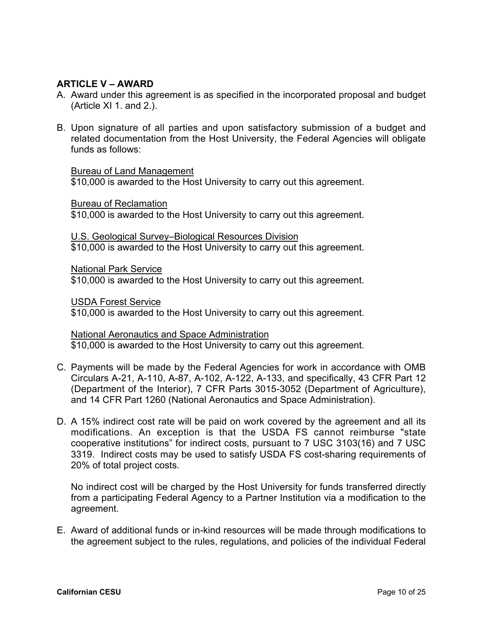## **ARTICLE V – AWARD**

- A. Award under this agreement is as specified in the incorporated proposal and budget (Article XI 1. and 2.).
- B. Upon signature of all parties and upon satisfactory submission of a budget and related documentation from the Host University, the Federal Agencies will obligate funds as follows:

#### Bureau of Land Management

\$10,000 is awarded to the Host University to carry out this agreement.

Bureau of Reclamation

\$10,000 is awarded to the Host University to carry out this agreement.

U.S. Geological Survey–Biological Resources Division \$10,000 is awarded to the Host University to carry out this agreement.

National Park Service

\$10,000 is awarded to the Host University to carry out this agreement.

USDA Forest Service

\$10,000 is awarded to the Host University to carry out this agreement.

National Aeronautics and Space Administration

\$10,000 is awarded to the Host University to carry out this agreement.

- C. Payments will be made by the Federal Agencies for work in accordance with OMB Circulars A-21, A-110, A-87, A-102, A-122, A-133, and specifically, 43 CFR Part 12 (Department of the Interior), 7 CFR Parts 3015-3052 (Department of Agriculture), and 14 CFR Part 1260 (National Aeronautics and Space Administration).
- D. A 15% indirect cost rate will be paid on work covered by the agreement and all its modifications. An exception is that the USDA FS cannot reimburse "state cooperative institutions" for indirect costs, pursuant to 7 USC 3103(16) and 7 USC 3319. Indirect costs may be used to satisfy USDA FS cost-sharing requirements of 20% of total project costs.

No indirect cost will be charged by the Host University for funds transferred directly from a participating Federal Agency to a Partner Institution via a modification to the agreement.

E. Award of additional funds or in-kind resources will be made through modifications to the agreement subject to the rules, regulations, and policies of the individual Federal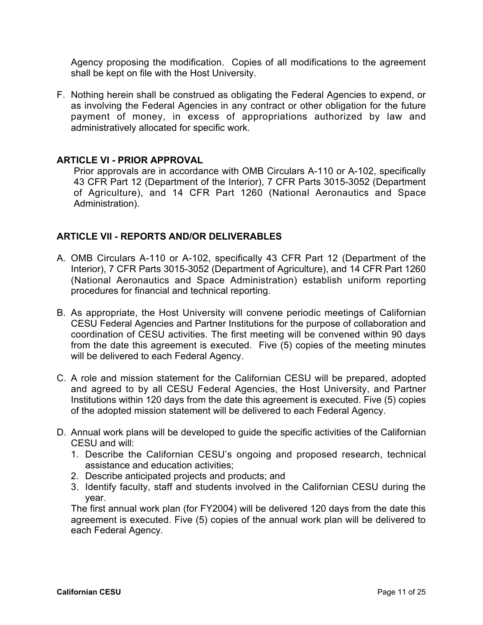Agency proposing the modification. Copies of all modifications to the agreement shall be kept on file with the Host University.

F. Nothing herein shall be construed as obligating the Federal Agencies to expend, or as involving the Federal Agencies in any contract or other obligation for the future payment of money, in excess of appropriations authorized by law and administratively allocated for specific work.

### **ARTICLE VI - PRIOR APPROVAL**

Prior approvals are in accordance with OMB Circulars A-110 or A-102, specifically 43 CFR Part 12 (Department of the Interior), 7 CFR Parts 3015-3052 (Department of Agriculture), and 14 CFR Part 1260 (National Aeronautics and Space Administration).

## **ARTICLE VII - REPORTS AND/OR DELIVERABLES**

- A. OMB Circulars A-110 or A-102, specifically 43 CFR Part 12 (Department of the Interior), 7 CFR Parts 3015-3052 (Department of Agriculture), and 14 CFR Part 1260 (National Aeronautics and Space Administration) establish uniform reporting procedures for financial and technical reporting.
- B. As appropriate, the Host University will convene periodic meetings of Californian CESU Federal Agencies and Partner Institutions for the purpose of collaboration and coordination of CESU activities. The first meeting will be convened within 90 days from the date this agreement is executed. Five (5) copies of the meeting minutes will be delivered to each Federal Agency.
- C. A role and mission statement for the Californian CESU will be prepared, adopted and agreed to by all CESU Federal Agencies, the Host University, and Partner Institutions within 120 days from the date this agreement is executed. Five (5) copies of the adopted mission statement will be delivered to each Federal Agency.
- D. Annual work plans will be developed to guide the specific activities of the Californian CESU and will:
	- 1. Describe the Californian CESU's ongoing and proposed research, technical assistance and education activities;
	- 2. Describe anticipated projects and products; and
	- 3. Identify faculty, staff and students involved in the Californian CESU during the year.

The first annual work plan (for FY2004) will be delivered 120 days from the date this agreement is executed. Five (5) copies of the annual work plan will be delivered to each Federal Agency.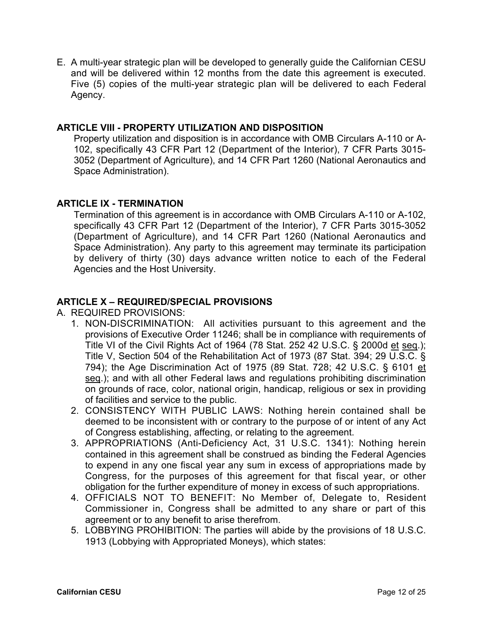E. A multi-year strategic plan will be developed to generally guide the Californian CESU and will be delivered within 12 months from the date this agreement is executed. Five (5) copies of the multi-year strategic plan will be delivered to each Federal Agency.

### **ARTICLE VIII - PROPERTY UTILIZATION AND DISPOSITION**

Property utilization and disposition is in accordance with OMB Circulars A-110 or A-102, specifically 43 CFR Part 12 (Department of the Interior), 7 CFR Parts 3015- 3052 (Department of Agriculture), and 14 CFR Part 1260 (National Aeronautics and Space Administration).

## **ARTICLE IX - TERMINATION**

Termination of this agreement is in accordance with OMB Circulars A-110 or A-102, specifically 43 CFR Part 12 (Department of the Interior), 7 CFR Parts 3015-3052 (Department of Agriculture), and 14 CFR Part 1260 (National Aeronautics and Space Administration). Any party to this agreement may terminate its participation by delivery of thirty (30) days advance written notice to each of the Federal Agencies and the Host University.

## **ARTICLE X – REQUIRED/SPECIAL PROVISIONS**

A. REQUIRED PROVISIONS:

- 1. NON-DISCRIMINATION: All activities pursuant to this agreement and the provisions of Executive Order 11246; shall be in compliance with requirements of Title VI of the Civil Rights Act of 1964 (78 Stat. 252 42 U.S.C. § 2000d et seq.); Title V, Section 504 of the Rehabilitation Act of 1973 (87 Stat. 394; 29 U.S.C. § 794); the Age Discrimination Act of 1975 (89 Stat. 728; 42 U.S.C. § 6101 et seq.); and with all other Federal laws and regulations prohibiting discrimination on grounds of race, color, national origin, handicap, religious or sex in providing of facilities and service to the public.
- 2. CONSISTENCY WITH PUBLIC LAWS: Nothing herein contained shall be deemed to be inconsistent with or contrary to the purpose of or intent of any Act of Congress establishing, affecting, or relating to the agreement.
- 3. APPROPRIATIONS (Anti-Deficiency Act, 31 U.S.C. 1341): Nothing herein contained in this agreement shall be construed as binding the Federal Agencies to expend in any one fiscal year any sum in excess of appropriations made by Congress, for the purposes of this agreement for that fiscal year, or other obligation for the further expenditure of money in excess of such appropriations.
- 4. OFFICIALS NOT TO BENEFIT: No Member of, Delegate to, Resident Commissioner in, Congress shall be admitted to any share or part of this agreement or to any benefit to arise therefrom.
- 5. LOBBYING PROHIBITION: The parties will abide by the provisions of 18 U.S.C. 1913 (Lobbying with Appropriated Moneys), which states: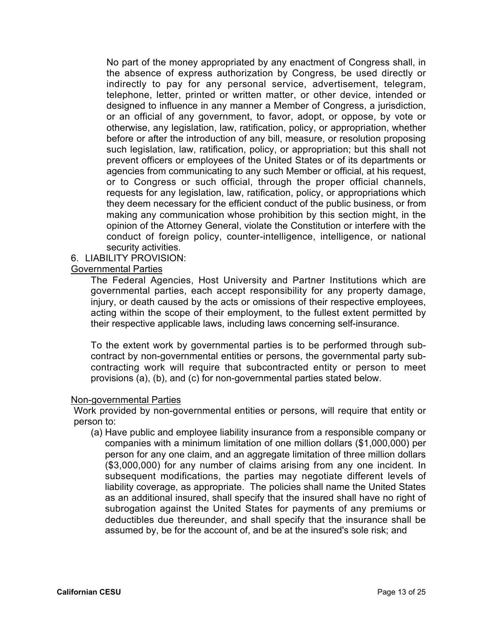No part of the money appropriated by any enactment of Congress shall, in the absence of express authorization by Congress, be used directly or indirectly to pay for any personal service, advertisement, telegram, telephone, letter, printed or written matter, or other device, intended or designed to influence in any manner a Member of Congress, a jurisdiction, or an official of any government, to favor, adopt, or oppose, by vote or otherwise, any legislation, law, ratification, policy, or appropriation, whether before or after the introduction of any bill, measure, or resolution proposing such legislation, law, ratification, policy, or appropriation; but this shall not prevent officers or employees of the United States or of its departments or agencies from communicating to any such Member or official, at his request, or to Congress or such official, through the proper official channels, requests for any legislation, law, ratification, policy, or appropriations which they deem necessary for the efficient conduct of the public business, or from making any communication whose prohibition by this section might, in the opinion of the Attorney General, violate the Constitution or interfere with the conduct of foreign policy, counter-intelligence, intelligence, or national security activities.

#### 6. LIABILITY PROVISION:

#### Governmental Parties

The Federal Agencies, Host University and Partner Institutions which are governmental parties, each accept responsibility for any property damage, injury, or death caused by the acts or omissions of their respective employees, acting within the scope of their employment, to the fullest extent permitted by their respective applicable laws, including laws concerning self-insurance.

To the extent work by governmental parties is to be performed through subcontract by non-governmental entities or persons, the governmental party subcontracting work will require that subcontracted entity or person to meet provisions (a), (b), and (c) for non-governmental parties stated below.

#### Non-governmental Parties

Work provided by non-governmental entities or persons, will require that entity or person to:

(a) Have public and employee liability insurance from a responsible company or companies with a minimum limitation of one million dollars (\$1,000,000) per person for any one claim, and an aggregate limitation of three million dollars (\$3,000,000) for any number of claims arising from any one incident. In subsequent modifications, the parties may negotiate different levels of liability coverage, as appropriate. The policies shall name the United States as an additional insured, shall specify that the insured shall have no right of subrogation against the United States for payments of any premiums or deductibles due thereunder, and shall specify that the insurance shall be assumed by, be for the account of, and be at the insured's sole risk; and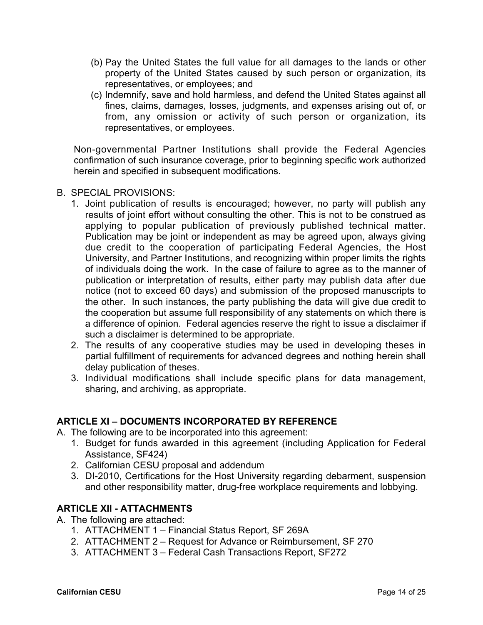- (b) Pay the United States the full value for all damages to the lands or other property of the United States caused by such person or organization, its representatives, or employees; and
- (c) Indemnify, save and hold harmless, and defend the United States against all fines, claims, damages, losses, judgments, and expenses arising out of, or from, any omission or activity of such person or organization, its representatives, or employees.

Non-governmental Partner Institutions shall provide the Federal Agencies confirmation of such insurance coverage, prior to beginning specific work authorized herein and specified in subsequent modifications.

- B. SPECIAL PROVISIONS:
	- 1. Joint publication of results is encouraged; however, no party will publish any results of joint effort without consulting the other. This is not to be construed as applying to popular publication of previously published technical matter. Publication may be joint or independent as may be agreed upon, always giving due credit to the cooperation of participating Federal Agencies, the Host University, and Partner Institutions, and recognizing within proper limits the rights of individuals doing the work. In the case of failure to agree as to the manner of publication or interpretation of results, either party may publish data after due notice (not to exceed 60 days) and submission of the proposed manuscripts to the other. In such instances, the party publishing the data will give due credit to the cooperation but assume full responsibility of any statements on which there is a difference of opinion. Federal agencies reserve the right to issue a disclaimer if such a disclaimer is determined to be appropriate.
	- 2. The results of any cooperative studies may be used in developing theses in partial fulfillment of requirements for advanced degrees and nothing herein shall delay publication of theses.
	- 3. Individual modifications shall include specific plans for data management, sharing, and archiving, as appropriate.

### **ARTICLE XI – DOCUMENTS INCORPORATED BY REFERENCE**

- A. The following are to be incorporated into this agreement:
	- 1. Budget for funds awarded in this agreement (including Application for Federal Assistance, SF424)
	- 2. Californian CESU proposal and addendum
	- 3. DI-2010, Certifications for the Host University regarding debarment, suspension and other responsibility matter, drug-free workplace requirements and lobbying.

### **ARTICLE XII - ATTACHMENTS**

- A. The following are attached:
	- 1. ATTACHMENT 1 Financial Status Report, SF 269A
	- 2. ATTACHMENT 2 Request for Advance or Reimbursement, SF 270
	- 3. ATTACHMENT 3 Federal Cash Transactions Report, SF272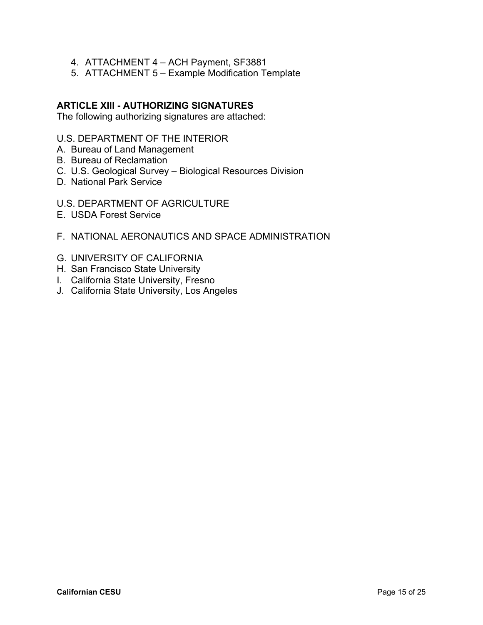- 4. ATTACHMENT 4 ACH Payment, SF3881
- 5. ATTACHMENT 5 Example Modification Template

The following authorizing signatures are attached:

#### U.S. DEPARTMENT OF THE INTERIOR

- A. Bureau of Land Management
- B. Bureau of Reclamation
- C. U.S. Geological Survey Biological Resources Division
- D. National Park Service
- U.S. DEPARTMENT OF AGRICULTURE
- E. USDA Forest Service
- F. NATIONAL AERONAUTICS AND SPACE ADMINISTRATION
- G. UNIVERSITY OF CALIFORNIA
- H. San Francisco State University
- I. California State University, Fresno
- J. California State University, Los Angeles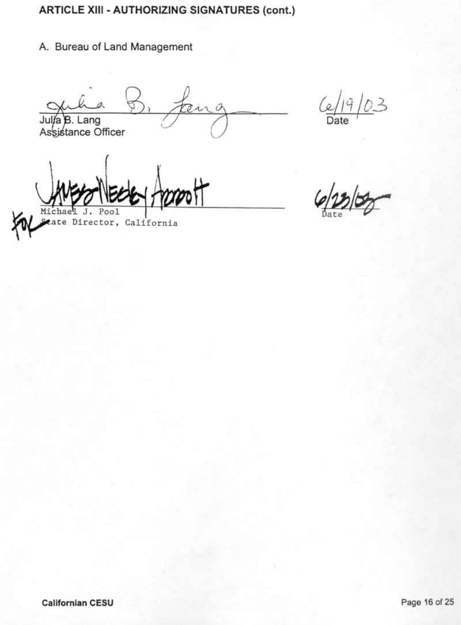# A. Bureau of Land Management

 $\mathcal{O}$ err Julia B. Lang<br>Assistance Officer

03  $\frac{6}{\text{Date}}$ 

ate Director, California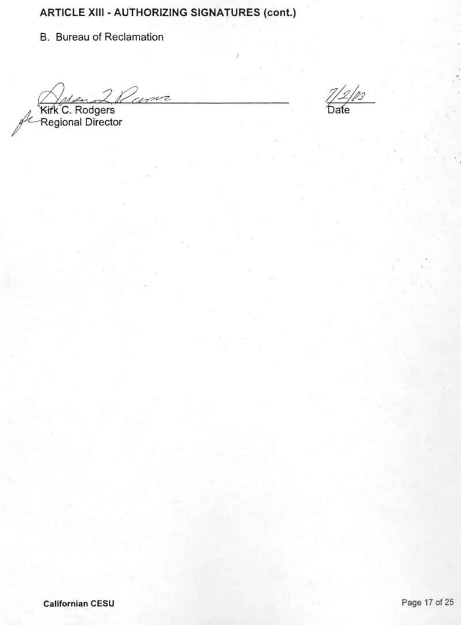B. Bureau of Reclamation

 $2\n *l*\n *curve*$ 

Kirk C. Rodgers<br>Regional Director

 $\frac{1}{3}$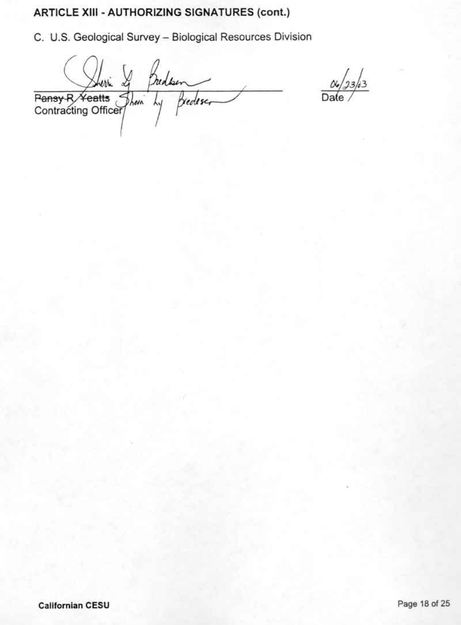C. U.S. Geological Survey - Biological Resources Division

Pansy R Yeatts Them by Breder

 $\frac{\alpha}{\text{Date}}/33/3$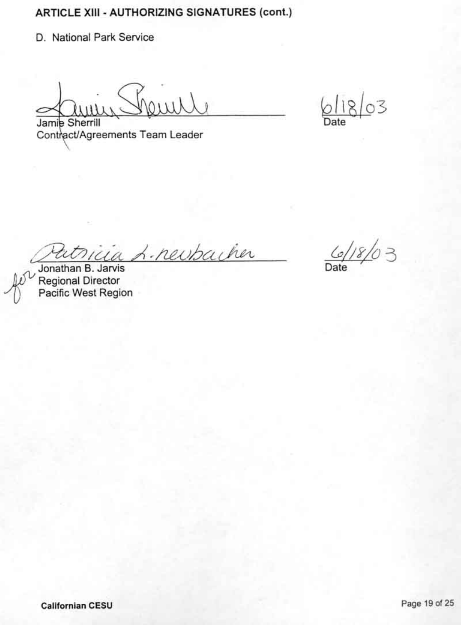D. National Park Service

 $\mu$ Jamie Sherrill

 $61803$ 

Contract/Agreements Team Leader

ia *L. newbacher* 

Jonathan B. Jarvis Regional Director<br>Pacific West Region

 $\frac{6}{2}$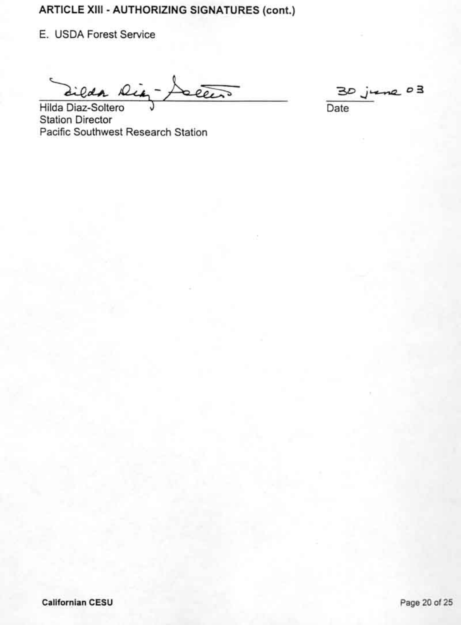E. USDA Forest Service

Zilda Ria leen

 $rac{0}{2}$ Date

Hilda Diaz-Soltero **Station Director** Pacific Southwest Research Station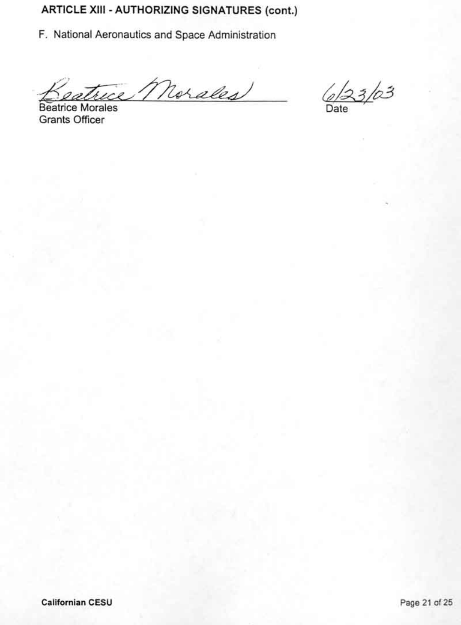F. National Aeronautics and Space Administration

eatrice Morales

 $6/23/03$ 

Beatrice Morales **Grants Officer**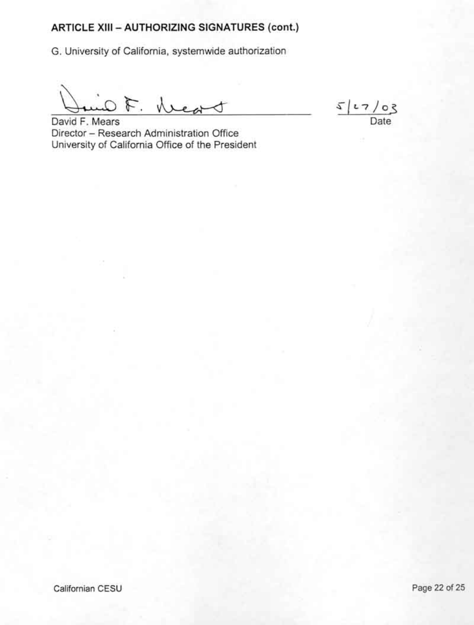G. University of California, systemwide authorization

F. Lead

 $5127/03$ Date

David F. Mears Director - Research Administration Office University of California Office of the President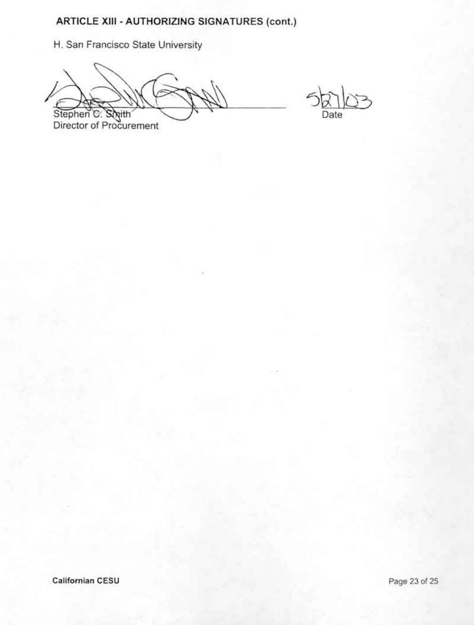H. San Francisco State University

Stephen C. Ś *<u>Rith</u>* Director of Procurement

Date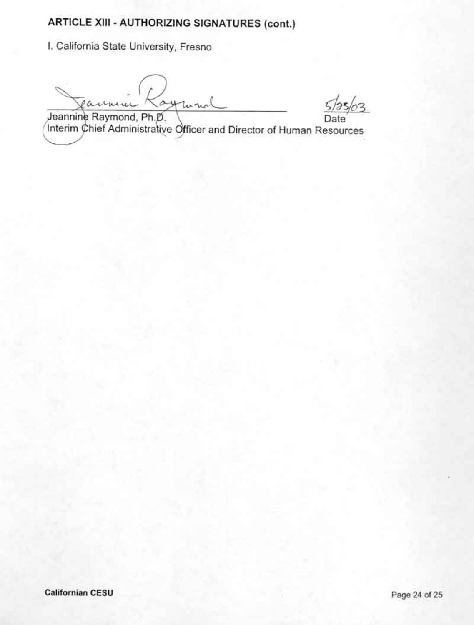I. California State University, Fresno

ayuna icu

Jeannine Raymond, Ph.D.<br>Interim Chief Administrative Officer and Director of Human Resources